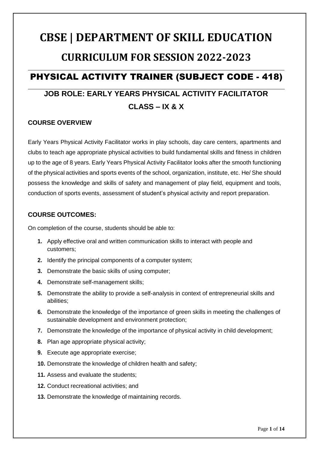# **CBSE | DEPARTMENT OF SKILL EDUCATION CURRICULUM FOR SESSION 2022-2023** PHYSICAL ACTIVITY TRAINER (SUBJECT CODE - 418)

# **JOB ROLE: EARLY YEARS PHYSICAL ACTIVITY FACILITATOR CLASS – IX & X**

### **COURSE OVERVIEW**

Early Years Physical Activity Facilitator works in play schools, day care centers, apartments and clubs to teach age appropriate physical activities to build fundamental skills and fitness in children up to the age of 8 years. Early Years Physical Activity Facilitator looks after the smooth functioning of the physical activities and sports events of the school, organization, institute, etc. He/ She should possess the knowledge and skills of safety and management of play field, equipment and tools, conduction of sports events, assessment of student's physical activity and report preparation.

### **COURSE OUTCOMES:**

On completion of the course, students should be able to:

- **1.** Apply effective oral and written communication skills to interact with people and customers;
- **2.** Identify the principal components of a computer system;
- **3.** Demonstrate the basic skills of using computer;
- **4.** Demonstrate self-management skills;
- **5.** Demonstrate the ability to provide a self-analysis in context of entrepreneurial skills and abilities;
- **6.** Demonstrate the knowledge of the importance of green skills in meeting the challenges of sustainable development and environment protection;
- **7.** Demonstrate the knowledge of the importance of physical activity in child development;
- **8.** Plan age appropriate physical activity;
- **9.** Execute age appropriate exercise;
- **10.** Demonstrate the knowledge of children health and safety;
- **11.** Assess and evaluate the students;
- **12.** Conduct recreational activities; and
- **13.** Demonstrate the knowledge of maintaining records.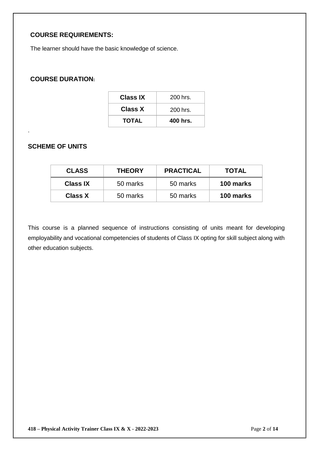### **COURSE REQUIREMENTS:**

The learner should have the basic knowledge of science.

### **COURSE DURATION:**

| 400 hrs.   |
|------------|
| $200$ hrs. |
| $200$ hrs. |
|            |

### **SCHEME OF UNITS**

.

| <b>CLASS</b>    | <b>THEORY</b> | <b>PRACTICAL</b> | <b>TOTAL</b> |
|-----------------|---------------|------------------|--------------|
| <b>Class IX</b> | 50 marks      | 50 marks         | 100 marks    |
| <b>Class X</b>  | 50 marks      | 50 marks         | 100 marks    |

This course is a planned sequence of instructions consisting of units meant for developing employability and vocational competencies of students of Class IX opting for skill subject along with other education subjects.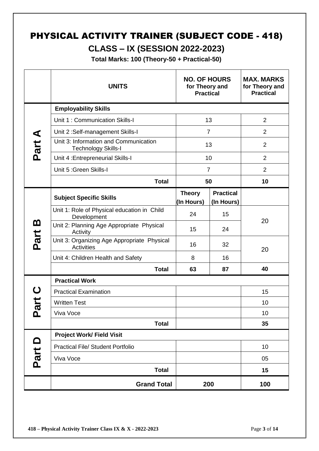# PHYSICAL ACTIVITY TRAINER (SUBJECT CODE - 418)

## **CLASS – IX (SESSION 2022-2023)**

**Total Marks: 100 (Theory-50 + Practical-50)**

|          | <b>UNITS</b>                                                        | <b>NO. OF HOURS</b><br>for Theory and<br><b>Practical</b> |                                | <b>MAX. MARKS</b><br>for Theory and<br><b>Practical</b> |
|----------|---------------------------------------------------------------------|-----------------------------------------------------------|--------------------------------|---------------------------------------------------------|
|          | <b>Employability Skills</b>                                         |                                                           |                                |                                                         |
|          | Unit 1: Communication Skills-I                                      |                                                           | 13                             | $\overline{2}$                                          |
|          | Unit 2:Self-management Skills-I                                     |                                                           | $\overline{7}$                 | $\overline{2}$                                          |
| Part A   | Unit 3: Information and Communication<br><b>Technology Skills-I</b> |                                                           | 13                             | $\overline{2}$                                          |
|          | Unit 4: Entrepreneurial Skills-I                                    |                                                           | 10                             | 2                                                       |
|          | Unit 5 : Green Skills-I                                             |                                                           | $\overline{7}$                 | 2                                                       |
|          | <b>Total</b>                                                        |                                                           | 50                             | 10                                                      |
|          | <b>Subject Specific Skills</b>                                      | <b>Theory</b><br>(In Hours)                               | <b>Practical</b><br>(In Hours) |                                                         |
|          | Unit 1: Role of Physical education in Child<br>Development          | 24                                                        | 15                             | 20                                                      |
| <u>ന</u> | Unit 2: Planning Age Appropriate Physical<br>Activity               | 15                                                        | 24                             |                                                         |
| Part     | Unit 3: Organizing Age Appropriate Physical<br><b>Activities</b>    | 16                                                        | 32                             | 20                                                      |
|          | Unit 4: Children Health and Safety                                  | 8                                                         | 16                             |                                                         |
|          | <b>Total</b>                                                        | 63                                                        | 87                             | 40                                                      |
|          | <b>Practical Work</b>                                               |                                                           |                                |                                                         |
|          | <b>Practical Examination</b>                                        |                                                           |                                | 15                                                      |
| art      | <b>Written Test</b>                                                 |                                                           |                                | 10                                                      |
| ௨        | Viva Voce                                                           |                                                           |                                | 10                                                      |
|          | <b>Total</b>                                                        |                                                           |                                | 35                                                      |
|          | <b>Project Work/ Field Visit</b>                                    |                                                           |                                |                                                         |
|          | <b>Practical File/ Student Portfolio</b>                            |                                                           |                                | 10                                                      |
| Part D   | Viva Voce                                                           |                                                           |                                | 05                                                      |
|          | <b>Total</b>                                                        |                                                           |                                | 15                                                      |
|          | <b>Grand Total</b>                                                  |                                                           | 200                            | 100                                                     |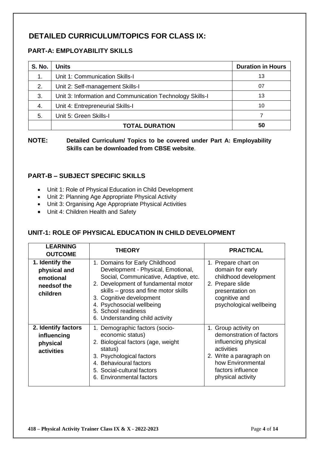### **DETAILED CURRICULUM/TOPICS FOR CLASS IX:**

### **PART-A: EMPLOYABILITY SKILLS**

| <b>S. No.</b> | <b>Units</b>                                              | <b>Duration in Hours</b> |
|---------------|-----------------------------------------------------------|--------------------------|
| 1.            | Unit 1: Communication Skills-I                            | 13                       |
| 2.            | Unit 2: Self-management Skills-I                          | 07                       |
| 3.            | Unit 3: Information and Communication Technology Skills-I | 13                       |
| 4.            | Unit 4: Entrepreneurial Skills-I                          | 10                       |
| 5.            | Unit 5: Green Skills-I                                    |                          |
|               | <b>TOTAL DURATION</b>                                     | 50                       |

**NOTE: Detailed Curriculum/ Topics to be covered under Part A: Employability Skills can be downloaded from CBSE website**.

### **PART-B – SUBJECT SPECIFIC SKILLS**

- Unit 1: Role of Physical Education in Child Development
- Unit 2: Planning Age Appropriate Physical Activity
- Unit 3: Organising Age Appropriate Physical Activities
- Unit 4: Children Health and Safety

### **UNIT-1: ROLE OF PHYSICAL EDUCATION IN CHILD DEVELOPMENT**

| <b>LEARNING</b><br><b>OUTCOME</b>                                        | <b>THEORY</b>                                                                                                                                                                                                                                                                                                   | <b>PRACTICAL</b>                                                                                                                                                                 |
|--------------------------------------------------------------------------|-----------------------------------------------------------------------------------------------------------------------------------------------------------------------------------------------------------------------------------------------------------------------------------------------------------------|----------------------------------------------------------------------------------------------------------------------------------------------------------------------------------|
| 1. Identify the<br>physical and<br>emotional<br>needs of the<br>children | 1. Domains for Early Childhood<br>Development - Physical, Emotional,<br>Social, Communicative, Adaptive, etc.<br>2. Development of fundamental motor<br>skills - gross and fine motor skills<br>3. Cognitive development<br>4. Psychosocial wellbeing<br>5. School readiness<br>6. Understanding child activity | 1. Prepare chart on<br>domain for early<br>childhood development<br>2. Prepare slide<br>presentation on<br>cognitive and<br>psychological wellbeing                              |
| 2. Identify factors<br>influencing<br>physical<br>activities             | 1. Demographic factors (socio-<br>economic status)<br>2. Biological factors (age, weight<br>status)<br>3. Psychological factors<br>4. Behavioural factors<br>5. Social-cultural factors<br>6. Environmental factors                                                                                             | 1. Group activity on<br>demonstration of factors<br>influencing physical<br>activities<br>2. Write a paragraph on<br>how Environmental<br>factors influence<br>physical activity |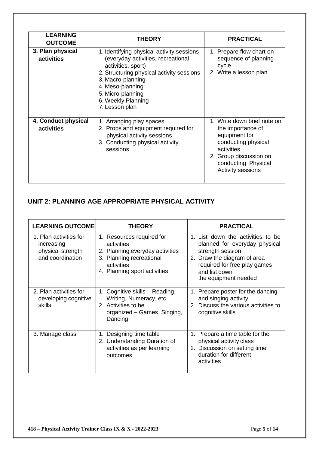| <b>LEARNING</b><br><b>OUTCOME</b> | <b>THEORY</b>                                                                                                                                                                                                                                            | <b>PRACTICAL</b>                                                                                                                                                                    |
|-----------------------------------|----------------------------------------------------------------------------------------------------------------------------------------------------------------------------------------------------------------------------------------------------------|-------------------------------------------------------------------------------------------------------------------------------------------------------------------------------------|
| 3. Plan physical<br>activities    | 1. Identifying physical activity sessions<br>(everyday activities, recreational<br>activities, sport)<br>2. Structuring physical activity sessions<br>3. Macro-planning<br>4. Meso-planning<br>5. Micro-planning<br>6. Weekly Planning<br>7. Lesson plan | 1. Prepare flow chart on<br>sequence of planning<br>cycle.<br>2. Write a lesson plan                                                                                                |
| 4. Conduct physical<br>activities | 1. Arranging play spaces<br>2. Props and equipment required for<br>physical activity sessions<br>3. Conducting physical activity<br>sessions                                                                                                             | 1. Write down brief note on<br>the importance of<br>equipment for<br>conducting physical<br>activities<br>2. Group discussion on<br>conducting Physical<br><b>Activity sessions</b> |

### **UNIT 2: PLANNING AGE APPROPRIATE PHYSICAL ACTIVITY**

| <b>LEARNING OUTCOME</b>                                                       | <b>THEORY</b>                                                                                                                                        | <b>PRACTICAL</b>                                                                                                                                                                               |
|-------------------------------------------------------------------------------|------------------------------------------------------------------------------------------------------------------------------------------------------|------------------------------------------------------------------------------------------------------------------------------------------------------------------------------------------------|
| 1. Plan activities for<br>increasing<br>physical strength<br>and coordination | 1. Resources required for<br>activities<br>2. Planning everyday activities<br>3. Planning recreational<br>activities<br>4. Planning sport activities | 1. List down the activities to be<br>planned for everyday physical<br>strength session<br>2. Draw the diagram of area<br>required for free play games<br>and list down<br>the equipment needed |
| 2. Plan activities for<br>developing cognitive<br><b>skills</b>               | 1. Cognitive skills – Reading,<br>Writing, Numeracy, etc.<br>2. Activities to be<br>organized - Games, Singing,<br>Dancing                           | 1. Prepare poster for the dancing<br>and singing activity<br>2. Discuss the various activities to<br>cognitive skills                                                                          |
| 3. Manage class                                                               | Designing time table<br>2. Understanding Duration of<br>activities as per learning<br>outcomes                                                       | 1. Prepare a time table for the<br>physical activity class<br>Discussion on setting time<br>2.<br>duration for different<br>activities                                                         |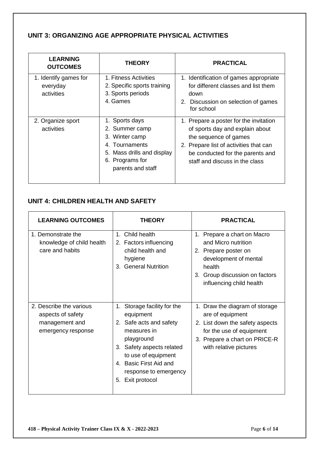### **UNIT 3: ORGANIZING AGE APPROPRIATE PHYSICAL ACTIVITIES**

| <b>LEARNING</b><br><b>OUTCOMES</b>              | <b>THEORY</b>                                                                                                                                 | <b>PRACTICAL</b>                                                                                                                                                                                                   |
|-------------------------------------------------|-----------------------------------------------------------------------------------------------------------------------------------------------|--------------------------------------------------------------------------------------------------------------------------------------------------------------------------------------------------------------------|
| 1. Identify games for<br>everyday<br>activities | 1. Fitness Activities<br>2. Specific sports training<br>3. Sports periods<br>4. Games                                                         | 1. Identification of games appropriate<br>for different classes and list them<br>down<br>2. Discussion on selection of games<br>for school                                                                         |
| 2. Organize sport<br>activities                 | 1. Sports days<br>2. Summer camp<br>3. Winter camp<br>4. Tournaments<br>Mass drills and display<br>5.<br>6. Programs for<br>parents and staff | 1. Prepare a poster for the invitation<br>of sports day and explain about<br>the sequence of games<br>2. Prepare list of activities that can<br>be conducted for the parents and<br>staff and discuss in the class |

### **UNIT 4: CHILDREN HEALTH AND SAFETY**

| <b>LEARNING OUTCOMES</b>                                                             | <b>THEORY</b>                                                                                                                                                                                                                     | <b>PRACTICAL</b>                                                                                                                                                             |
|--------------------------------------------------------------------------------------|-----------------------------------------------------------------------------------------------------------------------------------------------------------------------------------------------------------------------------------|------------------------------------------------------------------------------------------------------------------------------------------------------------------------------|
| 1. Demonstrate the<br>knowledge of child health<br>care and habits                   | 1. Child health<br>2. Factors influencing<br>child health and<br>hygiene<br>3. General Nutrition                                                                                                                                  | 1. Prepare a chart on Macro<br>and Micro nutrition<br>2. Prepare poster on<br>development of mental<br>health<br>3. Group discussion on factors<br>influencing child health  |
| 2. Describe the various<br>aspects of safety<br>management and<br>emergency response | Storage facility for the<br>1.<br>equipment<br>2. Safe acts and safety<br>measures in<br>playground<br>3. Safety aspects related<br>to use of equipment<br>4. Basic First Aid and<br>response to emergency<br>Exit protocol<br>5. | 1. Draw the diagram of storage<br>are of equipment<br>2. List down the safety aspects<br>for the use of equipment<br>3. Prepare a chart on PRICE-R<br>with relative pictures |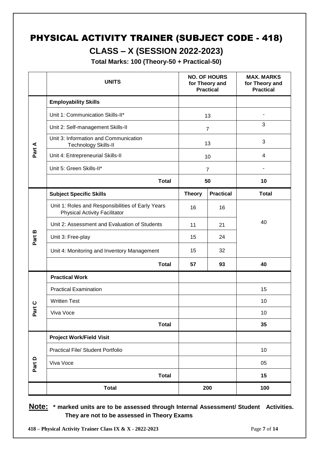# PHYSICAL ACTIVITY TRAINER (SUBJECT CODE - 418) **CLASS – X (SESSION 2022-2023)**

**Total Marks: 100 (Theory-50 + Practical-50)**

|                 | <b>UNITS</b>                                                                              |               | <b>NO. OF HOURS</b><br>for Theory and<br><b>Practical</b> | <b>MAX. MARKS</b><br>for Theory and<br><b>Practical</b> |
|-----------------|-------------------------------------------------------------------------------------------|---------------|-----------------------------------------------------------|---------------------------------------------------------|
|                 | <b>Employability Skills</b>                                                               |               |                                                           |                                                         |
|                 | Unit 1: Communication Skills-II*                                                          |               | 13                                                        |                                                         |
|                 | Unit 2: Self-management Skills-II                                                         |               | $\overline{7}$                                            | 3                                                       |
|                 | Unit 3: Information and Communication<br>Technology Skills-II                             |               | 13                                                        | 3                                                       |
| Part A          | Unit 4: Entrepreneurial Skills-II                                                         |               | 10                                                        | 4                                                       |
|                 | Unit 5: Green Skills-II*                                                                  |               | $\overline{7}$                                            |                                                         |
|                 | <b>Total</b>                                                                              | 50            |                                                           | 10                                                      |
|                 | <b>Subject Specific Skills</b>                                                            | <b>Theory</b> | <b>Practical</b>                                          | <b>Total</b>                                            |
|                 | Unit 1: Roles and Responsibilities of Early Years<br><b>Physical Activity Facilitator</b> | 16            | 16                                                        |                                                         |
|                 | Unit 2: Assessment and Evaluation of Students                                             | 11            | 21                                                        | 40                                                      |
| Part B          | Unit 3: Free-play                                                                         | 15            | 24                                                        |                                                         |
|                 | Unit 4: Monitoring and Inventory Management                                               | 15            | 32                                                        |                                                         |
|                 | <b>Total</b>                                                                              | 57            | 93                                                        | 40                                                      |
|                 | <b>Practical Work</b>                                                                     |               |                                                           |                                                         |
|                 | <b>Practical Examination</b>                                                              |               |                                                           | 15                                                      |
| ပ               | <b>Written Test</b>                                                                       |               |                                                           | 10                                                      |
| ť<br><u>ត្ថ</u> | Viva Voce                                                                                 |               |                                                           | 10                                                      |
|                 | <b>Total</b>                                                                              |               |                                                           | 35                                                      |
|                 | <b>Project Work/Field Visit</b>                                                           |               |                                                           |                                                         |
|                 | <b>Practical File/ Student Portfolio</b>                                                  |               |                                                           | 10                                                      |
| Part D          | Viva Voce                                                                                 |               |                                                           | 05                                                      |
|                 | <b>Total</b>                                                                              |               |                                                           | 15                                                      |
|                 | <b>Total</b>                                                                              |               | 200                                                       | 100                                                     |

**Note: \* marked units are to be assessed through Internal Assessment/ Student Activities. They are not to be assessed in Theory Exams**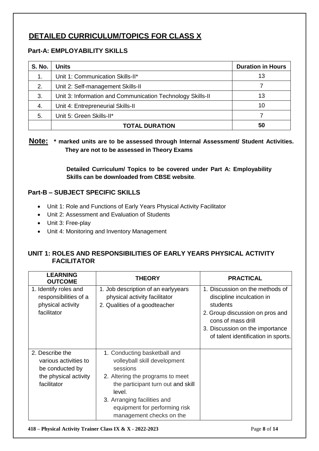### **DETAILED CURRICULUM/TOPICS FOR CLASS X**

### **Part-A: EMPLOYABILITY SKILLS**

| <b>S. No.</b> | <b>Units</b>                                               | <b>Duration in Hours</b> |
|---------------|------------------------------------------------------------|--------------------------|
| 1.            | Unit 1: Communication Skills-II*                           | 13                       |
| 2.            | Unit 2: Self-management Skills-II                          |                          |
| 3.            | Unit 3: Information and Communication Technology Skills-II | 13                       |
| 4.            | Unit 4: Entrepreneurial Skills-II                          | 10                       |
| 5.            | Unit 5: Green Skills-II*                                   |                          |
|               | <b>TOTAL DURATION</b>                                      | 50                       |

### **Note: \* marked units are to be assessed through Internal Assessment/ Student Activities. They are not to be assessed in Theory Exams**

**Detailed Curriculum/ Topics to be covered under Part A: Employability Skills can be downloaded from CBSE website**.

### **Part-B – SUBJECT SPECIFIC SKILLS**

- Unit 1: Role and Functions of Early Years Physical Activity Facilitator
- Unit 2: Assessment and Evaluation of Students
- Unit 3: Free-play
- Unit 4: Monitoring and Inventory Management

### **UNIT 1: ROLES AND RESPONSIBILITIES OF EARLY YEARS PHYSICAL ACTIVITY FACILITATOR**

| <b>LEARNING</b><br><b>OUTCOME</b>                                                                   | <b>THEORY</b>                                                                                                                                                                                                                                            | <b>PRACTICAL</b>                                                                                                                                                                                            |
|-----------------------------------------------------------------------------------------------------|----------------------------------------------------------------------------------------------------------------------------------------------------------------------------------------------------------------------------------------------------------|-------------------------------------------------------------------------------------------------------------------------------------------------------------------------------------------------------------|
| 1. Identify roles and<br>responsibilities of a<br>physical activity<br>facilitator                  | 1. Job description of an earlyyears<br>physical activity facilitator<br>2. Qualities of a goodteacher                                                                                                                                                    | 1. Discussion on the methods of<br>discipline inculcation in<br>students<br>2. Group discussion on pros and<br>cons of mass drill<br>3. Discussion on the importance<br>of talent identification in sports. |
| 2. Describe the<br>various activities to<br>be conducted by<br>the physical activity<br>facilitator | 1. Conducting basketball and<br>volleyball skill development<br>sessions<br>2. Altering the programs to meet<br>the participant turn out and skill<br>level.<br>3. Arranging facilities and<br>equipment for performing risk<br>management checks on the |                                                                                                                                                                                                             |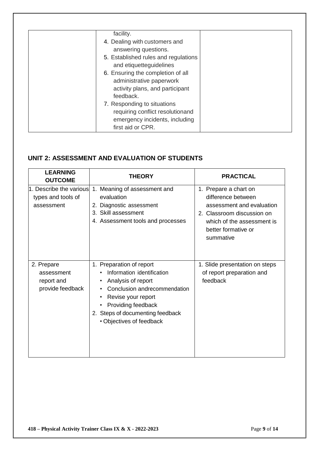| facility.                            |  |
|--------------------------------------|--|
| 4. Dealing with customers and        |  |
| answering questions.                 |  |
| 5. Established rules and regulations |  |
| and etiquetteguidelines              |  |
| 6. Ensuring the completion of all    |  |
| administrative paperwork             |  |
| activity plans, and participant      |  |
| feedback.                            |  |
| 7. Responding to situations          |  |
| requiring conflict resolutionand     |  |
| emergency incidents, including       |  |
| first aid or CPR.                    |  |

### **UNIT 2: ASSESSMENT AND EVALUATION OF STUDENTS**

| <b>LEARNING</b>                                             | <b>THEORY</b>                                                                                                                                                                                                                                        | <b>PRACTICAL</b>                                                                                                                                                            |
|-------------------------------------------------------------|------------------------------------------------------------------------------------------------------------------------------------------------------------------------------------------------------------------------------------------------------|-----------------------------------------------------------------------------------------------------------------------------------------------------------------------------|
| <b>OUTCOME</b>                                              |                                                                                                                                                                                                                                                      |                                                                                                                                                                             |
| 1. Describe the various<br>types and tools of<br>assessment | 1. Meaning of assessment and<br>evaluation<br>2. Diagnostic assessment<br>3. Skill assessment<br>4. Assessment tools and processes                                                                                                                   | Prepare a chart on<br>1.<br>difference between<br>assessment and evaluation<br>2. Classroom discussion on<br>which of the assessment is<br>better formative or<br>summative |
| 2. Prepare<br>assessment<br>report and<br>provide feedback  | 1. Preparation of report<br>Information identification<br>Analysis of report<br>٠<br>Conclusion andrecommendation<br>$\bullet$<br>Revise your report<br>٠<br>Providing feedback<br>٠<br>2. Steps of documenting feedback<br>• Objectives of feedback | 1. Slide presentation on steps<br>of report preparation and<br>feedback                                                                                                     |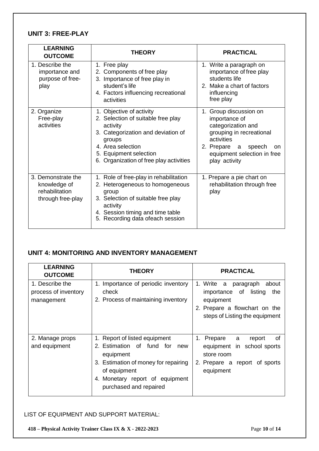### **UNIT 3: FREE-PLAY**

| <b>LEARNING</b><br><b>OUTCOME</b>                                         | <b>THEORY</b>                                                                                                                                                                                                        | <b>PRACTICAL</b>                                                                                                                                                                           |
|---------------------------------------------------------------------------|----------------------------------------------------------------------------------------------------------------------------------------------------------------------------------------------------------------------|--------------------------------------------------------------------------------------------------------------------------------------------------------------------------------------------|
| 1. Describe the<br>importance and<br>purpose of free-<br>play             | 1. Free play<br>2. Components of free play<br>3. Importance of free play in<br>student's life<br>4. Factors influencing recreational<br>activities                                                                   | 1. Write a paragraph on<br>importance of free play<br>students life<br>2. Make a chart of factors<br>influencing<br>free play                                                              |
| 2. Organize<br>Free-play<br>activities                                    | 1. Objective of activity<br>2. Selection of suitable free play<br>activity<br>3. Categorization and deviation of<br>groups<br>4. Area selection<br>5. Equipment selection<br>6. Organization of free play activities | 1. Group discussion on<br>importance of<br>categorization and<br>grouping in recreational<br>activities<br>2. Prepare<br>speech<br>a<br>on<br>equipment selection in free<br>play activity |
| 3. Demonstrate the<br>knowledge of<br>rehabilitation<br>through free-play | 1. Role of free-play in rehabilitation<br>2. Heterogeneous to homogeneous<br>group<br>3. Selection of suitable free play<br>activity<br>4. Session timing and time table<br>5. Recording data ofeach session         | 1. Prepare a pie chart on<br>rehabilitation through free<br>play                                                                                                                           |

### **UNIT 4: MONITORING AND INVENTORY MANAGEMENT**

| <b>LEARNING</b><br><b>OUTCOME</b>                     | <b>THEORY</b>                                                                                                                                                                                    | <b>PRACTICAL</b>                                                                                                                                    |
|-------------------------------------------------------|--------------------------------------------------------------------------------------------------------------------------------------------------------------------------------------------------|-----------------------------------------------------------------------------------------------------------------------------------------------------|
| 1. Describe the<br>process of inventory<br>management | 1. Importance of periodic inventory<br>check<br>2. Process of maintaining inventory                                                                                                              | 1. Write a<br>paragraph<br>about<br>listing<br>importance of<br>the<br>equipment<br>2. Prepare a flowchart on the<br>steps of Listing the equipment |
| 2. Manage props<br>and equipment                      | Report of listed equipment<br>2. Estimation of fund for<br>new<br>equipment<br>3. Estimation of money for repairing<br>of equipment<br>4. Monetary report of equipment<br>purchased and repaired | 1. Prepare a<br>report<br>0f<br>equipment in school sports<br>store room<br>2. Prepare a report of sports<br>equipment                              |

### LIST OF EQUIPMENT AND SUPPORT MATERIAL:

**418 – Physical Activity Trainer Class IX & X - 2022-2023** Page **10** of **14**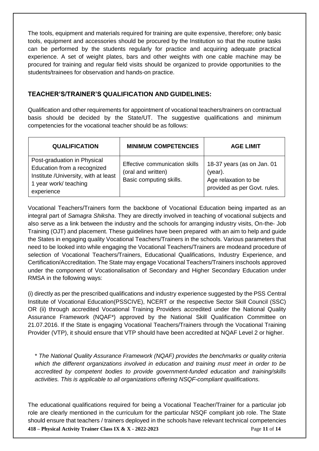The tools, equipment and materials required for training are quite expensive, therefore; only basic tools, equipment and accessories should be procured by the Institution so that the routine tasks can be performed by the students regularly for practice and acquiring adequate practical experience. A set of weight plates, bars and other weights with one cable machine may be procured for training and regular field visits should be organized to provide opportunities to the students/trainees for observation and hands-on practice.

### **TEACHER'S/TRAINER'S QUALIFICATION AND GUIDELINES:**

Qualification and other requirements for appointment of vocational teachers/trainers on contractual basis should be decided by the State/UT. The suggestive qualifications and minimum competencies for the vocational teacher should be as follows:

| <b>QUALIFICATION</b>                                                                                                                      | <b>MINIMUM COMPETENCIES</b>                                                     | <b>AGE LIMIT</b>                                                                                 |
|-------------------------------------------------------------------------------------------------------------------------------------------|---------------------------------------------------------------------------------|--------------------------------------------------------------------------------------------------|
| Post-graduation in Physical<br>Education from a recognized<br>Institute /University, with at least<br>1 year work/ teaching<br>experience | Effective communication skills<br>(oral and written)<br>Basic computing skills. | 18-37 years (as on Jan. 01<br>$(year)$ .<br>Age relaxation to be<br>provided as per Govt. rules. |

Vocational Teachers/Trainers form the backbone of Vocational Education being imparted as an integral part of *Samagra Shiksha*. They are directly involved in teaching of vocational subjects and also serve as a link between the industry and the schools for arranging industry visits, On-the- Job Training (OJT) and placement. These guidelines have been prepared with an aim to help and guide the States in engaging quality Vocational Teachers/Trainers in the schools. Various parameters that need to be looked into while engaging the Vocational Teachers/Trainers are modeand procedure of selection of Vocational Teachers/Trainers, Educational Qualifications, Industry Experience, and Certification/Accreditation. The State may engage Vocational Teachers/Trainers inschools approved under the component of Vocationalisation of Secondary and Higher Secondary Education under RMSA in the following ways:

(i) directly as per the prescribed qualifications and industry experience suggested by the PSS Central Institute of Vocational Education(PSSCIVE), NCERT or the respective Sector Skill Council (SSC) OR (ii) through accredited Vocational Training Providers accredited under the National Quality Assurance Framework (NQAF\*) approved by the National Skill Qualification Committee on 21.07.2016. If the State is engaging Vocational Teachers/Trainers through the Vocational Training Provider (VTP), it should ensure that VTP should have been accredited at NQAF Level 2 or higher.

\* *The National Quality Assurance Framework (NQAF) provides the benchmarks or quality criteria which the different organizations involved in education and training must meet in order to be accredited by competent bodies to provide government-funded education and training/skills activities. This is applicable to all organizations offering NSQF-compliant qualifications.*

**418 – Physical Activity Trainer Class IX & X - 2022-2023** Page **11** of **14** The educational qualifications required for being a Vocational Teacher/Trainer for a particular job role are clearly mentioned in the curriculum for the particular NSQF compliant job role. The State should ensure that teachers / trainers deployed in the schools have relevant technical competencies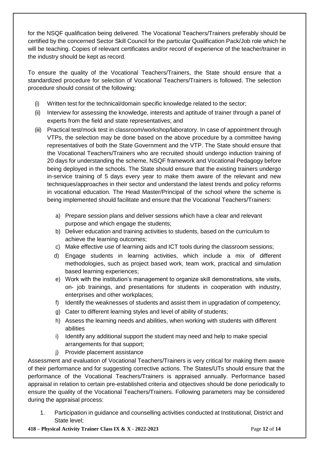for the NSQF qualification being delivered. The Vocational Teachers/Trainers preferably should be certified by the concerned Sector Skill Council for the particular Qualification Pack/Job role which he will be teaching. Copies of relevant certificates and/or record of experience of the teacher/trainer in the industry should be kept as record.

To ensure the quality of the Vocational Teachers/Trainers, the State should ensure that a standardized procedure for selection of Vocational Teachers/Trainers is followed. The selection procedure should consist of the following:

- (i) Written test for the technical/domain specific knowledge related to the sector;
- (ii) Interview for assessing the knowledge, interests and aptitude of trainer through a panel of experts from the field and state representatives; and
- (iii) Practical test/mock test in classroom/workshop/laboratory. In case of appointment through VTPs, the selection may be done based on the above procedure by a committee having representatives of both the State Government and the VTP. The State should ensure that the Vocational Teachers/Trainers who are recruited should undergo induction training of 20 days for understanding the scheme, NSQF framework and Vocational Pedagogy before being deployed in the schools. The State should ensure that the existing trainers undergo in-service training of 5 days every year to make them aware of the relevant and new techniques/approaches in their sector and understand the latest trends and policy reforms in vocational education. The Head Master/Principal of the school where the scheme is being implemented should facilitate and ensure that the Vocational Teachers/Trainers:
	- a) Prepare session plans and deliver sessions which have a clear and relevant purpose and which engage the students;
	- b) Deliver education and training activities to students, based on the curriculum to achieve the learning outcomes;
	- c) Make effective use of learning aids and ICT tools during the classroom sessions;
	- d) Engage students in learning activities, which include a mix of different methodologies, such as project based work, team work, practical and simulation based learning experiences;
	- e) Work with the institution's management to organize skill demonstrations, site visits, on- job trainings, and presentations for students in cooperation with industry, enterprises and other workplaces;
	- f) Identify the weaknesses of students and assist them in upgradation of competency;
	- g) Cater to different learning styles and level of ability of students;
	- h) Assess the learning needs and abilities, when working with students with different abilities
	- i) Identify any additional support the student may need and help to make special arrangements for that support;
	- j) Provide placement assistance

Assessment and evaluation of Vocational Teachers/Trainers is very critical for making them aware of their performance and for suggesting corrective actions. The States/UTs should ensure that the performance of the Vocational Teachers/Trainers is appraised annually. Performance based appraisal in relation to certain pre-established criteria and objectives should be done periodically to ensure the quality of the Vocational Teachers/Trainers. Following parameters may be considered during the appraisal process:

1. Participation in guidance and counselling activities conducted at Institutional, District and State level;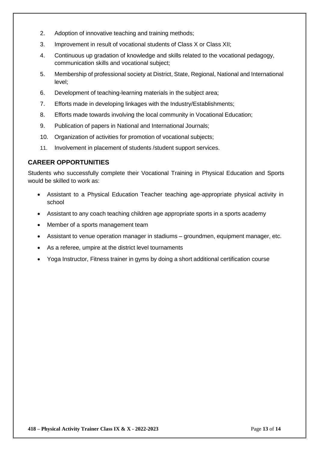- 2. Adoption of innovative teaching and training methods;
- 3. Improvement in result of vocational students of Class X or Class XII;
- 4. Continuous up gradation of knowledge and skills related to the vocational pedagogy, communication skills and vocational subject;
- 5. Membership of professional society at District, State, Regional, National and International level;
- 6. Development of teaching-learning materials in the subject area;
- 7. Efforts made in developing linkages with the Industry/Establishments;
- 8. Efforts made towards involving the local community in Vocational Education;
- 9. Publication of papers in National and International Journals;
- 10. Organization of activities for promotion of vocational subjects;
- 11. Involvement in placement of students /student support services.

### **CAREER OPPORTUNITIES**

Students who successfully complete their Vocational Training in Physical Education and Sports would be skilled to work as:

- Assistant to a Physical Education Teacher teaching age-appropriate physical activity in school
- Assistant to any coach teaching children age appropriate sports in a sports academy
- Member of a sports management team
- Assistant to venue operation manager in stadiums groundmen, equipment manager, etc.
- As a referee, umpire at the district level tournaments
- Yoga Instructor, Fitness trainer in gyms by doing a short additional certification course